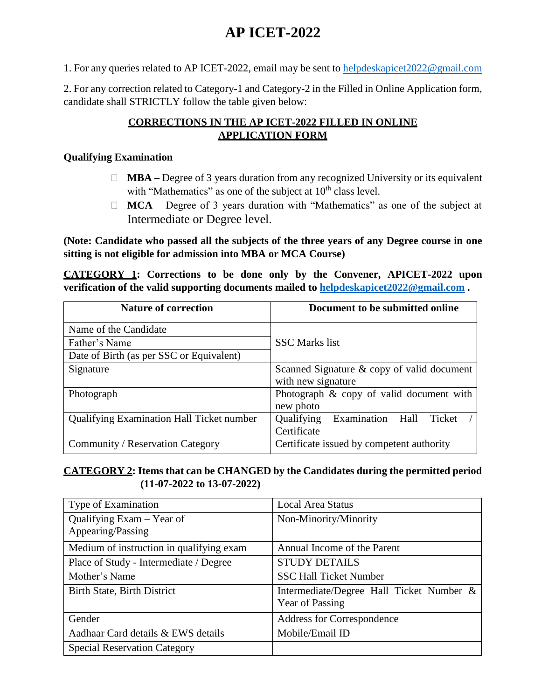## **AP ICET-2022**

1. For any queries related to AP ICET-2022, email may be sent to [helpdeskapicet2022@gmail.com](mailto:helpdeskapicet2021@gmail.com)

2. For any correction related to Category-1 and Category-2 in the Filled in Online Application form, candidate shall STRICTLY follow the table given below:

## **CORRECTIONS IN THE AP ICET-2022 FILLED IN ONLINE APPLICATION FORM**

## **Qualifying Examination**

- $\Box$  **MBA** Degree of 3 years duration from any recognized University or its equivalent with "Mathematics" as one of the subject at  $10<sup>th</sup>$  class level.
- $\Box$  **MCA** Degree of 3 years duration with "Mathematics" as one of the subject at Intermediate or Degree level.

**(Note: Candidate who passed all the subjects of the three years of any Degree course in one sitting is not eligible for admission into MBA or MCA Course)**

**CATEGORY 1: Corrections to be done only by the Convener, APICET-2022 upon verification of the valid supporting documents mailed to [helpdeskapicet2022@gmail.com](mailto:helpdeskapicet2022@gmail.com) .**

| <b>Nature of correction</b>                      | Document to be submitted online             |
|--------------------------------------------------|---------------------------------------------|
| Name of the Candidate                            |                                             |
| Father's Name                                    | <b>SSC</b> Marks list                       |
| Date of Birth (as per SSC or Equivalent)         |                                             |
| Signature                                        | Scanned Signature & copy of valid document  |
|                                                  | with new signature                          |
| Photograph                                       | Photograph & copy of valid document with    |
|                                                  | new photo                                   |
| <b>Qualifying Examination Hall Ticket number</b> | Examination<br>Qualifying<br>Hall<br>Ticket |
|                                                  | Certificate                                 |
| Community / Reservation Category                 | Certificate issued by competent authority   |

## **CATEGORY 2: Items that can be CHANGED by the Candidates during the permitted period (11-07-2022 to 13-07-2022)**

| Type of Examination                      | <b>Local Area Status</b>                 |
|------------------------------------------|------------------------------------------|
| Qualifying $Exam - Year$ of              | Non-Minority/Minority                    |
| Appearing/Passing                        |                                          |
| Medium of instruction in qualifying exam | Annual Income of the Parent              |
| Place of Study - Intermediate / Degree   | <b>STUDY DETAILS</b>                     |
| Mother's Name                            | <b>SSC Hall Ticket Number</b>            |
| Birth State, Birth District              | Intermediate/Degree Hall Ticket Number & |
|                                          | Year of Passing                          |
| Gender                                   | <b>Address for Correspondence</b>        |
| Aadhaar Card details & EWS details       | Mobile/Email ID                          |
| <b>Special Reservation Category</b>      |                                          |